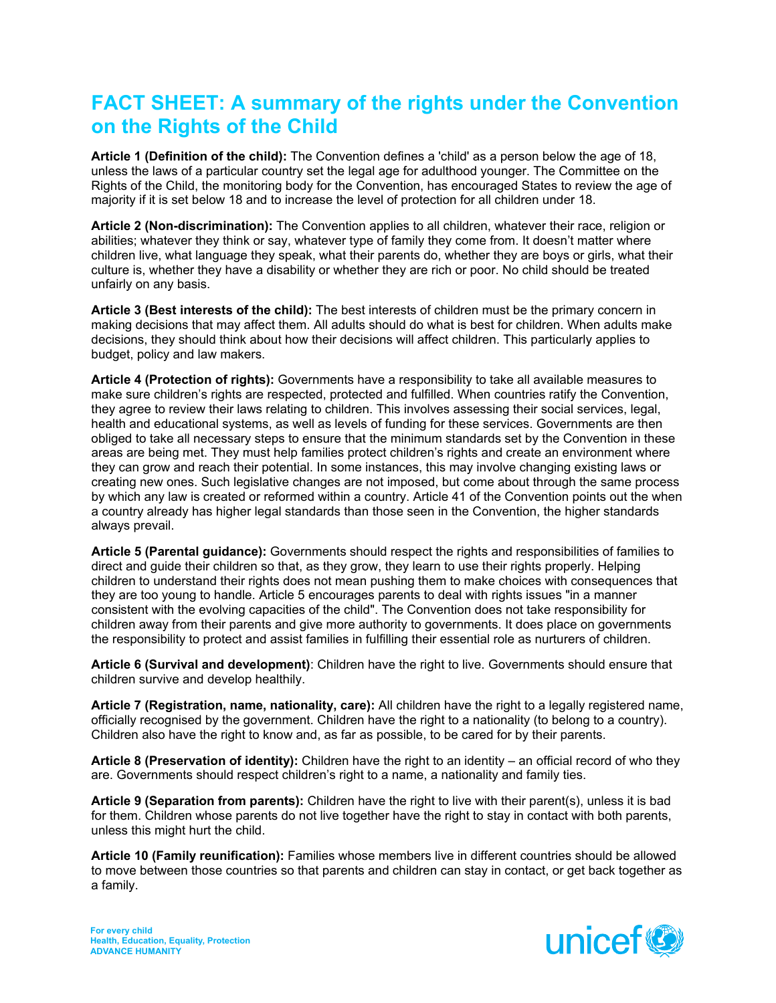## **FACT SHEET: A summary of the rights under the Convention on the Rights of the Child**

**Article 1 (Definition of the child):** The Convention defines a 'child' as a person below the age of 18, unless the laws of a particular country set the legal age for adulthood younger. The Committee on the Rights of the Child, the monitoring body for the Convention, has encouraged States to review the age of majority if it is set below 18 and to increase the level of protection for all children under 18.

**Article 2 (Non-discrimination):** The Convention applies to all children, whatever their race, religion or abilities; whatever they think or say, whatever type of family they come from. It doesn't matter where children live, what language they speak, what their parents do, whether they are boys or girls, what their culture is, whether they have a disability or whether they are rich or poor. No child should be treated unfairly on any basis.

**Article 3 (Best interests of the child):** The best interests of children must be the primary concern in making decisions that may affect them. All adults should do what is best for children. When adults make decisions, they should think about how their decisions will affect children. This particularly applies to budget, policy and law makers.

**Article 4 (Protection of rights):** Governments have a responsibility to take all available measures to make sure children's rights are respected, protected and fulfilled. When countries ratify the Convention, they agree to review their laws relating to children. This involves assessing their social services, legal, health and educational systems, as well as levels of funding for these services. Governments are then obliged to take all necessary steps to ensure that the minimum standards set by the Convention in these areas are being met. They must help families protect children's rights and create an environment where they can grow and reach their potential. In some instances, this may involve changing existing laws or creating new ones. Such legislative changes are not imposed, but come about through the same process by which any law is created or reformed within a country. Article 41 of the Convention points out the when a country already has higher legal standards than those seen in the Convention, the higher standards always prevail.

**Article 5 (Parental guidance):** Governments should respect the rights and responsibilities of families to direct and guide their children so that, as they grow, they learn to use their rights properly. Helping children to understand their rights does not mean pushing them to make choices with consequences that they are too young to handle. Article 5 encourages parents to deal with rights issues "in a manner consistent with the evolving capacities of the child". The Convention does not take responsibility for children away from their parents and give more authority to governments. It does place on governments the responsibility to protect and assist families in fulfilling their essential role as nurturers of children.

**Article 6 (Survival and development)**: Children have the right to live. Governments should ensure that children survive and develop healthily.

**Article 7 (Registration, name, nationality, care):** All children have the right to a legally registered name, officially recognised by the government. Children have the right to a nationality (to belong to a country). Children also have the right to know and, as far as possible, to be cared for by their parents.

**Article 8 (Preservation of identity):** Children have the right to an identity – an official record of who they are. Governments should respect children's right to a name, a nationality and family ties.

**Article 9 (Separation from parents):** Children have the right to live with their parent(s), unless it is bad for them. Children whose parents do not live together have the right to stay in contact with both parents, unless this might hurt the child.

**Article 10 (Family reunification):** Families whose members live in different countries should be allowed to move between those countries so that parents and children can stay in contact, or get back together as a family.

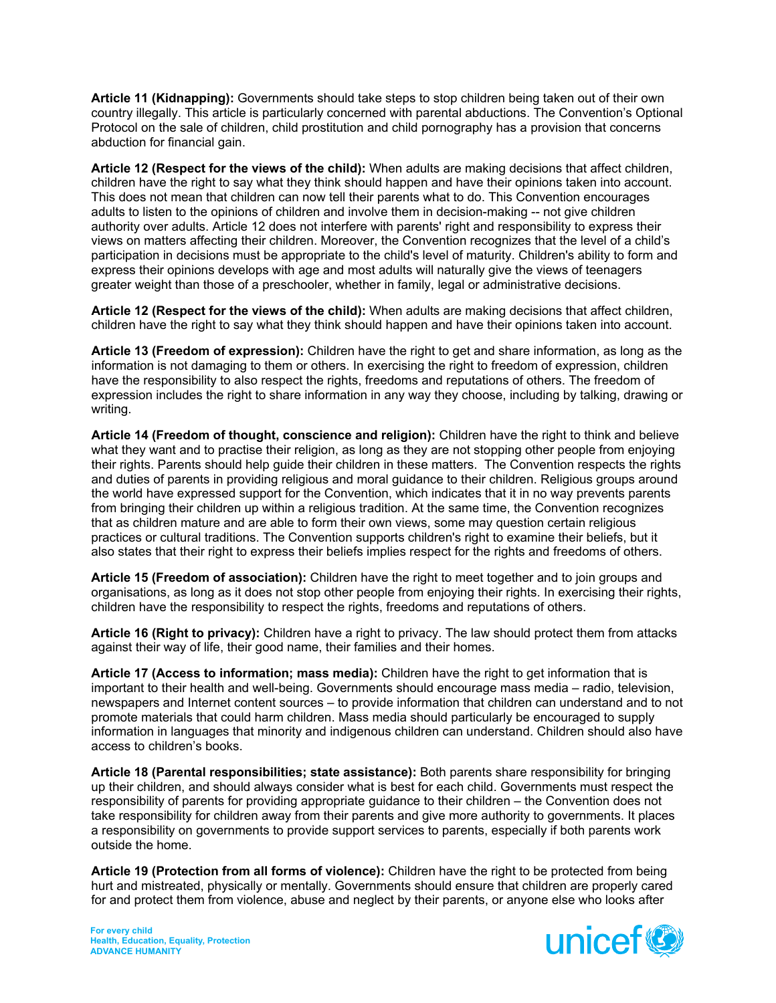**Article 11 (Kidnapping):** Governments should take steps to stop children being taken out of their own country illegally. This article is particularly concerned with parental abductions. The Convention's Optional Protocol on the sale of children, child prostitution and child pornography has a provision that concerns abduction for financial gain.

**Article 12 (Respect for the views of the child):** When adults are making decisions that affect children, children have the right to say what they think should happen and have their opinions taken into account. This does not mean that children can now tell their parents what to do. This Convention encourages adults to listen to the opinions of children and involve them in decision-making -- not give children authority over adults. Article 12 does not interfere with parents' right and responsibility to express their views on matters affecting their children. Moreover, the Convention recognizes that the level of a child's participation in decisions must be appropriate to the child's level of maturity. Children's ability to form and express their opinions develops with age and most adults will naturally give the views of teenagers greater weight than those of a preschooler, whether in family, legal or administrative decisions.

**Article 12 (Respect for the views of the child):** When adults are making decisions that affect children, children have the right to say what they think should happen and have their opinions taken into account.

**Article 13 (Freedom of expression):** Children have the right to get and share information, as long as the information is not damaging to them or others. In exercising the right to freedom of expression, children have the responsibility to also respect the rights, freedoms and reputations of others. The freedom of expression includes the right to share information in any way they choose, including by talking, drawing or writing.

**Article 14 (Freedom of thought, conscience and religion):** Children have the right to think and believe what they want and to practise their religion, as long as they are not stopping other people from enjoying their rights. Parents should help guide their children in these matters. The Convention respects the rights and duties of parents in providing religious and moral guidance to their children. Religious groups around the world have expressed support for the Convention, which indicates that it in no way prevents parents from bringing their children up within a religious tradition. At the same time, the Convention recognizes that as children mature and are able to form their own views, some may question certain religious practices or cultural traditions. The Convention supports children's right to examine their beliefs, but it also states that their right to express their beliefs implies respect for the rights and freedoms of others.

**Article 15 (Freedom of association):** Children have the right to meet together and to join groups and organisations, as long as it does not stop other people from enjoying their rights. In exercising their rights, children have the responsibility to respect the rights, freedoms and reputations of others.

**Article 16 (Right to privacy):** Children have a right to privacy. The law should protect them from attacks against their way of life, their good name, their families and their homes.

**Article 17 (Access to information; mass media):** Children have the right to get information that is important to their health and well-being. Governments should encourage mass media – radio, television, newspapers and Internet content sources – to provide information that children can understand and to not promote materials that could harm children. Mass media should particularly be encouraged to supply information in languages that minority and indigenous children can understand. Children should also have access to children's books.

**Article 18 (Parental responsibilities; state assistance):** Both parents share responsibility for bringing up their children, and should always consider what is best for each child. Governments must respect the responsibility of parents for providing appropriate guidance to their children – the Convention does not take responsibility for children away from their parents and give more authority to governments. It places a responsibility on governments to provide support services to parents, especially if both parents work outside the home.

**Article 19 (Protection from all forms of violence):** Children have the right to be protected from being hurt and mistreated, physically or mentally. Governments should ensure that children are properly cared for and protect them from violence, abuse and neglect by their parents, or anyone else who looks after

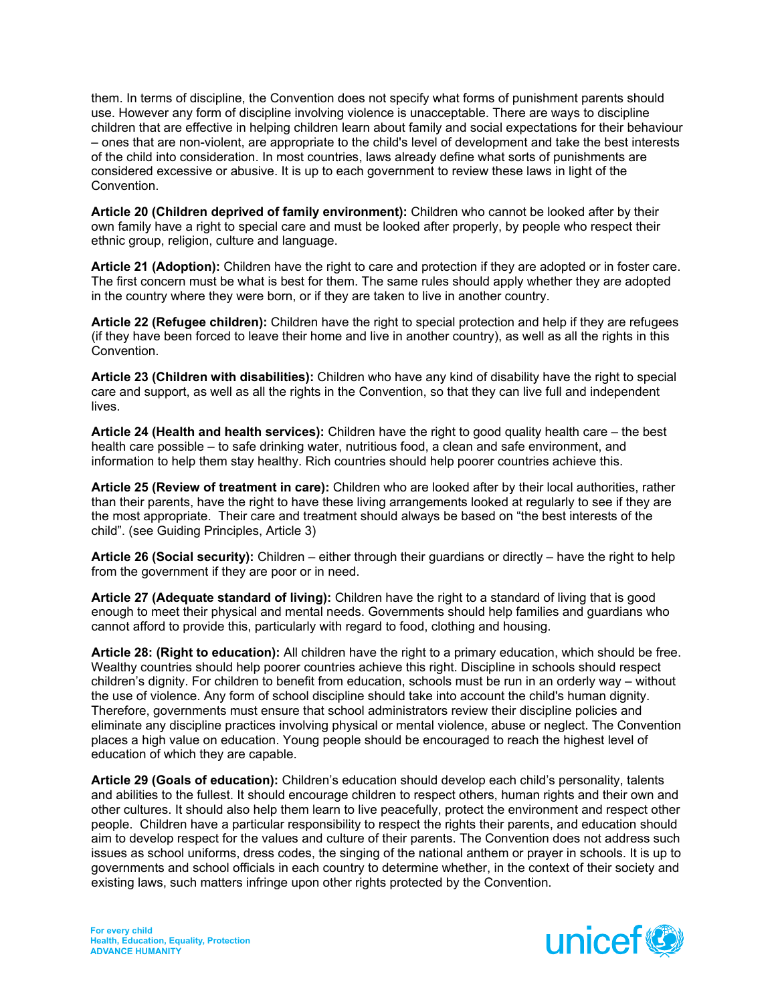them. In terms of discipline, the Convention does not specify what forms of punishment parents should use. However any form of discipline involving violence is unacceptable. There are ways to discipline children that are effective in helping children learn about family and social expectations for their behaviour – ones that are non-violent, are appropriate to the child's level of development and take the best interests of the child into consideration. In most countries, laws already define what sorts of punishments are considered excessive or abusive. It is up to each government to review these laws in light of the Convention.

**Article 20 (Children deprived of family environment):** Children who cannot be looked after by their own family have a right to special care and must be looked after properly, by people who respect their ethnic group, religion, culture and language.

**Article 21 (Adoption):** Children have the right to care and protection if they are adopted or in foster care. The first concern must be what is best for them. The same rules should apply whether they are adopted in the country where they were born, or if they are taken to live in another country.

**Article 22 (Refugee children):** Children have the right to special protection and help if they are refugees (if they have been forced to leave their home and live in another country), as well as all the rights in this Convention.

**Article 23 (Children with disabilities):** Children who have any kind of disability have the right to special care and support, as well as all the rights in the Convention, so that they can live full and independent lives.

**Article 24 (Health and health services):** Children have the right to good quality health care – the best health care possible – to safe drinking water, nutritious food, a clean and safe environment, and information to help them stay healthy. Rich countries should help poorer countries achieve this.

**Article 25 (Review of treatment in care):** Children who are looked after by their local authorities, rather than their parents, have the right to have these living arrangements looked at regularly to see if they are the most appropriate. Their care and treatment should always be based on "the best interests of the child". (see Guiding Principles, Article 3)

**Article 26 (Social security):** Children – either through their guardians or directly – have the right to help from the government if they are poor or in need.

**Article 27 (Adequate standard of living):** Children have the right to a standard of living that is good enough to meet their physical and mental needs. Governments should help families and guardians who cannot afford to provide this, particularly with regard to food, clothing and housing.

**Article 28: (Right to education):** All children have the right to a primary education, which should be free. Wealthy countries should help poorer countries achieve this right. Discipline in schools should respect children's dignity. For children to benefit from education, schools must be run in an orderly way – without the use of violence. Any form of school discipline should take into account the child's human dignity. Therefore, governments must ensure that school administrators review their discipline policies and eliminate any discipline practices involving physical or mental violence, abuse or neglect. The Convention places a high value on education. Young people should be encouraged to reach the highest level of education of which they are capable.

**Article 29 (Goals of education):** Children's education should develop each child's personality, talents and abilities to the fullest. It should encourage children to respect others, human rights and their own and other cultures. It should also help them learn to live peacefully, protect the environment and respect other people. Children have a particular responsibility to respect the rights their parents, and education should aim to develop respect for the values and culture of their parents. The Convention does not address such issues as school uniforms, dress codes, the singing of the national anthem or prayer in schools. It is up to governments and school officials in each country to determine whether, in the context of their society and existing laws, such matters infringe upon other rights protected by the Convention.